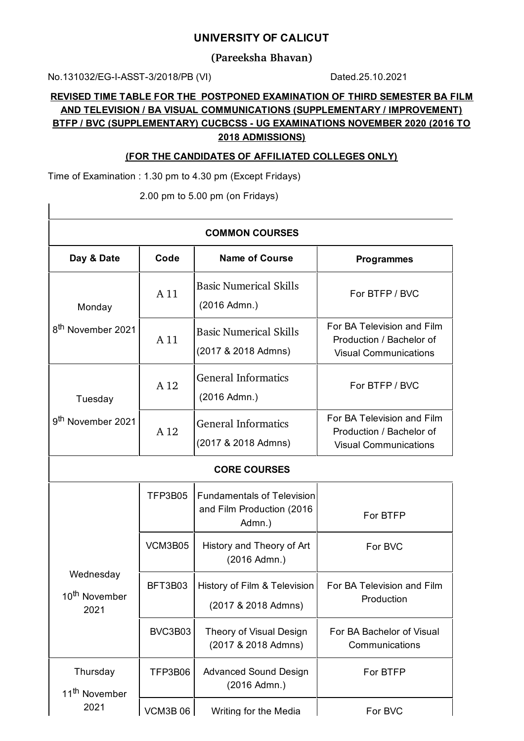## **UNIVERSITY OF CALICUT**

**(Pareeksha Bhavan)**

No.131032/EG-I-ASST-3/2018/PB (VI) Dated.25.10.2021

 $\overline{\phantom{a}}$ 

## **REVISED TIME TABLE FOR THE POSTPONED EXAMINATION OF THIRD SEMESTER BA FILM AND TELEVISION / BA VISUAL COMMUNICATIONS (SUPPLEMENTARY / IMPROVEMENT) BTFP / BVC (SUPPLEMENTARY) CUCBCSS - UG EXAMINATIONS NOVEMBER 2020 (2016 TO 2018 ADMISSIONS)**

## **(FOR THE CANDIDATES OF AFFILIATED COLLEGES ONLY)**

Time of Examination : 1.30 pm to 4.30 pm (Except Fridays)

2.00 pm to 5.00 pm (on Fridays)

| <b>COMMON COURSES</b>                          |                 |                                                                          |                                                                                        |  |  |
|------------------------------------------------|-----------------|--------------------------------------------------------------------------|----------------------------------------------------------------------------------------|--|--|
| Day & Date                                     | Code            | <b>Name of Course</b>                                                    | <b>Programmes</b>                                                                      |  |  |
| Monday<br>8 <sup>th</sup> November 2021        | A 11            | <b>Basic Numerical Skills</b><br>(2016 Admn.)                            | For BTFP / BVC                                                                         |  |  |
|                                                | A 11            | <b>Basic Numerical Skills</b><br>(2017 & 2018 Admns)                     | For BA Television and Film<br>Production / Bachelor of<br><b>Visual Communications</b> |  |  |
| Tuesday                                        | A 12            | <b>General Informatics</b><br>(2016 Admn.)                               | For BTFP / BVC                                                                         |  |  |
| 9 <sup>th</sup> November 2021                  | A <sub>12</sub> | <b>General Informatics</b><br>(2017 & 2018 Admns)                        | For BA Television and Film<br>Production / Bachelor of<br><b>Visual Communications</b> |  |  |
| <b>CORE COURSES</b>                            |                 |                                                                          |                                                                                        |  |  |
|                                                | TFP3B05         | <b>Fundamentals of Television</b><br>and Film Production (2016<br>Admn.) | For BTFP                                                                               |  |  |
| Wednesday<br>10 <sup>th</sup> November<br>2021 | VCM3B05         | History and Theory of Art<br>(2016 Admn.)                                | For BVC                                                                                |  |  |
|                                                | BFT3B03         | History of Film & Television<br>(2017 & 2018 Admns)                      | For BA Television and Film<br>Production                                               |  |  |
|                                                | BVC3B03         | Theory of Visual Design<br>(2017 & 2018 Admns)                           | For BA Bachelor of Visual<br>Communications                                            |  |  |
| Thursday<br>11 <sup>th</sup> November          | TFP3B06         | <b>Advanced Sound Design</b><br>(2016 Admn.)                             | For BTFP                                                                               |  |  |
| 2021                                           | <b>VCM3B06</b>  | Writing for the Media                                                    | For BVC                                                                                |  |  |